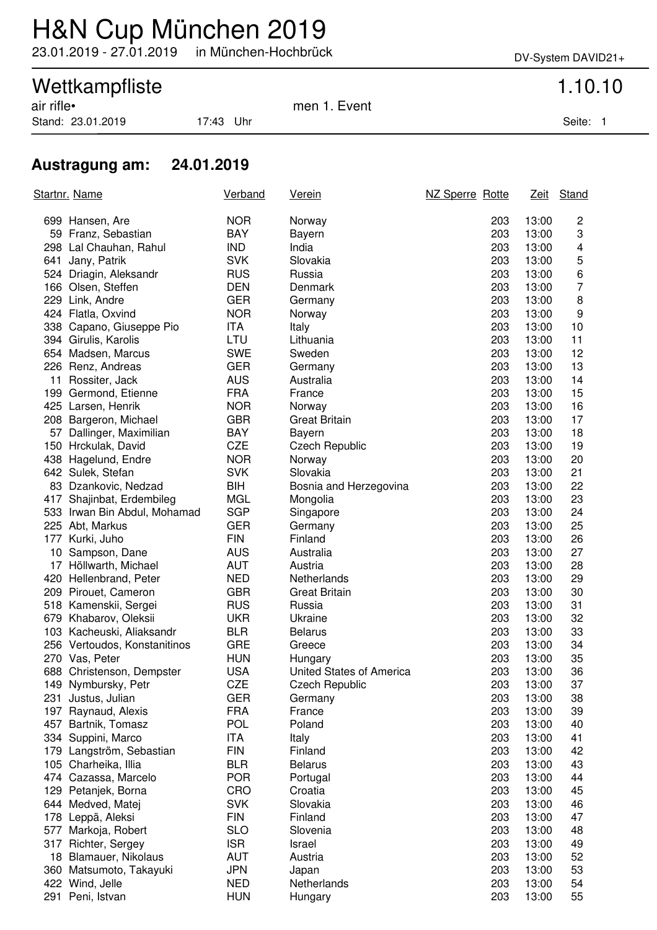## H&N Cup München 2019

23.01.2019 - 27.01.2019 in München-Hochbrück DV-System DAVID21+

# Wettkampfliste 1.10.10<br>
air rifle• 1.5 air rifle• 1.5 air rifle• 1.5 air rifle• 1.5 air rifle• 1.5 air rifle• 1.5 air rifle• 1.5 air r

Stand: 23.01.2019 17:43 Uhr Seite: 1

men 1. Event

### **Austragung am: 24.01.2019**

|     | <u>Startnr. Name</u>         | Verband    | <u>Verein</u>            | NZ Sperre Rotte |       | Zeit Stand              |
|-----|------------------------------|------------|--------------------------|-----------------|-------|-------------------------|
|     | 699 Hansen, Are              | <b>NOR</b> | Norway                   | 203             | 13:00 | 2                       |
|     | 59 Franz, Sebastian          | <b>BAY</b> | Bayern                   | 203             | 13:00 | 3                       |
|     | 298 Lal Chauhan, Rahul       | <b>IND</b> | India                    | 203             | 13:00 | $\overline{\mathbf{4}}$ |
|     | 641 Jany, Patrik             | <b>SVK</b> | Slovakia                 | 203             | 13:00 | 5                       |
|     | 524 Driagin, Aleksandr       | <b>RUS</b> | Russia                   | 203             | 13:00 | 6                       |
|     | 166 Olsen, Steffen           | <b>DEN</b> | Denmark                  | 203             | 13:00 | $\overline{7}$          |
|     | 229 Link, Andre              | <b>GER</b> | Germany                  | 203             | 13:00 | 8                       |
|     | 424 Flatla, Oxvind           | <b>NOR</b> | Norway                   | 203             | 13:00 | 9                       |
|     | 338 Capano, Giuseppe Pio     | <b>ITA</b> | Italy                    | 203             | 13:00 | 10                      |
|     | 394 Girulis, Karolis         | LTU        | Lithuania                | 203             | 13:00 | 11                      |
|     | 654 Madsen, Marcus           | <b>SWE</b> | Sweden                   | 203             | 13:00 | 12                      |
|     | 226 Renz, Andreas            | <b>GER</b> | Germany                  | 203             | 13:00 | 13                      |
|     | 11 Rossiter, Jack            | <b>AUS</b> | Australia                | 203             | 13:00 | 14                      |
|     | 199 Germond, Etienne         | <b>FRA</b> | France                   | 203             | 13:00 | 15                      |
|     | 425 Larsen, Henrik           | <b>NOR</b> | Norway                   | 203             | 13:00 | 16                      |
|     | 208 Bargeron, Michael        | <b>GBR</b> | <b>Great Britain</b>     | 203             | 13:00 | 17                      |
|     | 57 Dallinger, Maximilian     | BAY        | Bayern                   | 203             | 13:00 | 18                      |
|     | 150 Hrckulak, David          | <b>CZE</b> | <b>Czech Republic</b>    | 203             | 13:00 | 19                      |
|     | 438 Hagelund, Endre          | <b>NOR</b> | Norway                   | 203             | 13:00 | 20                      |
|     | 642 Sulek, Stefan            | <b>SVK</b> | Slovakia                 | 203             | 13:00 | 21                      |
|     | 83 Dzankovic, Nedzad         | BIH        | Bosnia and Herzegovina   | 203             | 13:00 | 22                      |
|     | 417 Shajinbat, Erdembileg    | <b>MGL</b> | Mongolia                 | 203             | 13:00 | 23                      |
|     | 533 Irwan Bin Abdul, Mohamad | <b>SGP</b> | Singapore                | 203             | 13:00 | 24                      |
|     | 225 Abt, Markus              | <b>GER</b> | Germany                  | 203             | 13:00 | 25                      |
|     | 177 Kurki, Juho              | <b>FIN</b> | Finland                  | 203             | 13:00 | 26                      |
|     | 10 Sampson, Dane             | <b>AUS</b> | Australia                | 203             | 13:00 | 27                      |
|     | 17 Höllwarth, Michael        | <b>AUT</b> | Austria                  | 203             | 13:00 | 28                      |
|     | 420 Hellenbrand, Peter       | <b>NED</b> | Netherlands              | 203             | 13:00 | 29                      |
|     | 209 Pirouet, Cameron         | <b>GBR</b> | <b>Great Britain</b>     | 203             | 13:00 | 30                      |
|     | 518 Kamenskii, Sergei        | <b>RUS</b> | Russia                   | 203             | 13:00 | 31                      |
|     | 679 Khabarov, Oleksii        | <b>UKR</b> | Ukraine                  | 203             | 13:00 | 32                      |
|     | 103 Kacheuski, Aliaksandr    | <b>BLR</b> | <b>Belarus</b>           | 203             | 13:00 | 33                      |
|     | 256 Vertoudos, Konstanitinos | <b>GRE</b> | Greece                   | 203             | 13:00 | 34                      |
|     | 270 Vas, Peter               | <b>HUN</b> | Hungary                  | 203             | 13:00 | 35                      |
|     | 688 Christenson, Dempster    | <b>USA</b> | United States of America | 203             | 13:00 | 36                      |
|     | 149 Nymbursky, Petr          | <b>CZE</b> | <b>Czech Republic</b>    | 203             | 13:00 | 37                      |
|     | 231 Justus, Julian           | <b>GER</b> | Germany                  | 203             | 13:00 | 38                      |
|     | 197 Raynaud, Alexis          | <b>FRA</b> | France                   | 203             | 13:00 | 39                      |
|     | 457 Bartnik, Tomasz          | <b>POL</b> | Poland                   | 203             | 13:00 | 40                      |
|     | 334 Suppini, Marco           | <b>ITA</b> | Italy                    | 203             | 13:00 | 41                      |
|     | 179 Langström, Sebastian     | <b>FIN</b> | Finland                  | 203             | 13:00 | 42                      |
|     | 105 Charheika, Illia         | <b>BLR</b> | <b>Belarus</b>           | 203             | 13:00 | 43                      |
|     | 474 Cazassa, Marcelo         | <b>POR</b> | Portugal                 | 203             | 13:00 | 44                      |
|     | 129 Petanjek, Borna          | CRO        | Croatia                  | 203             | 13:00 | 45                      |
|     | 644 Medved, Matej            | <b>SVK</b> | Slovakia                 | 203             | 13:00 | 46                      |
|     | 178 Leppä, Aleksi            | <b>FIN</b> | Finland                  | 203             | 13:00 | 47                      |
| 577 | Markoja, Robert              | <b>SLO</b> | Slovenia                 | 203             | 13:00 | 48                      |
| 317 | Richter, Sergey              | <b>ISR</b> | Israel                   | 203             | 13:00 | 49                      |
|     | 18 Blamauer, Nikolaus        | <b>AUT</b> | Austria                  | 203             | 13:00 | 52                      |
|     | 360 Matsumoto, Takayuki      | <b>JPN</b> | Japan                    | 203             | 13:00 | 53                      |
|     | 422 Wind, Jelle              | <b>NED</b> | Netherlands              | 203             | 13:00 | 54                      |
|     | 291 Peni, Istvan             | <b>HUN</b> | Hungary                  | 203             | 13:00 | 55                      |